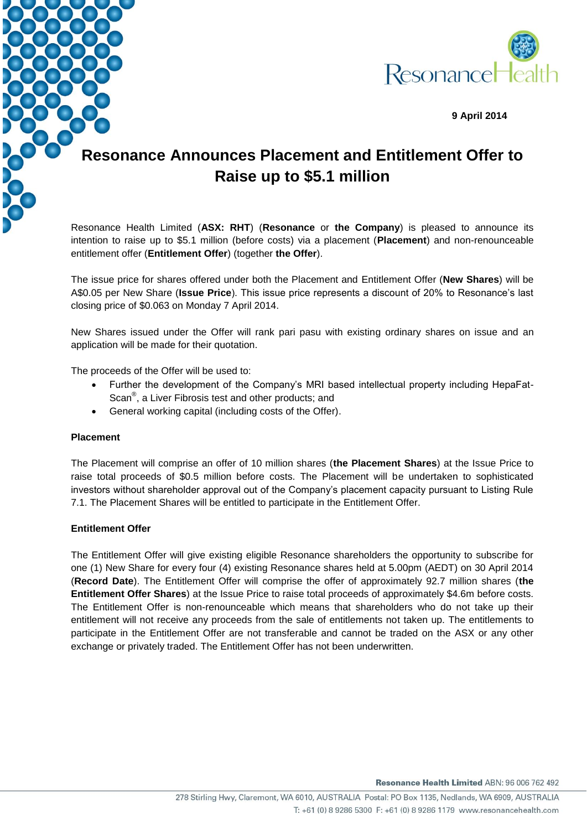

**9 April 2014**

## **Resonance Announces Placement and Entitlement Offer to Raise up to \$5.1 million**

Resonance Health Limited (**ASX: RHT**) (**Resonance** or **the Company**) is pleased to announce its intention to raise up to \$5.1 million (before costs) via a placement (**Placement**) and non-renounceable entitlement offer (**Entitlement Offer**) (together **the Offer**).

The issue price for shares offered under both the Placement and Entitlement Offer (**New Shares**) will be A\$0.05 per New Share (**Issue Price**). This issue price represents a discount of 20% to Resonance's last closing price of \$0.063 on Monday 7 April 2014.

New Shares issued under the Offer will rank pari pasu with existing ordinary shares on issue and an application will be made for their quotation.

The proceeds of the Offer will be used to:

- Further the development of the Company's MRI based intellectual property including HepaFat-Scan<sup>®</sup>, a Liver Fibrosis test and other products; and
- General working capital (including costs of the Offer).

## **Placement**

The Placement will comprise an offer of 10 million shares (**the Placement Shares**) at the Issue Price to raise total proceeds of \$0.5 million before costs. The Placement will be undertaken to sophisticated investors without shareholder approval out of the Company's placement capacity pursuant to Listing Rule 7.1. The Placement Shares will be entitled to participate in the Entitlement Offer.

## **Entitlement Offer**

The Entitlement Offer will give existing eligible Resonance shareholders the opportunity to subscribe for one (1) New Share for every four (4) existing Resonance shares held at 5.00pm (AEDT) on 30 April 2014 (**Record Date**). The Entitlement Offer will comprise the offer of approximately 92.7 million shares (**the Entitlement Offer Shares**) at the Issue Price to raise total proceeds of approximately \$4.6m before costs. The Entitlement Offer is non-renounceable which means that shareholders who do not take up their entitlement will not receive any proceeds from the sale of entitlements not taken up. The entitlements to participate in the Entitlement Offer are not transferable and cannot be traded on the ASX or any other exchange or privately traded. The Entitlement Offer has not been underwritten.

Resonance Health Limited ABN: 96 006 762 492